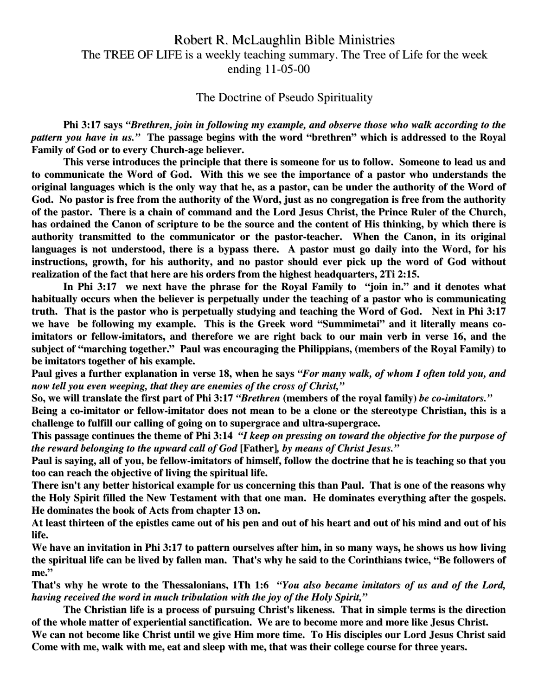## Robert R. McLaughlin Bible Ministries The TREE OF LIFE is a weekly teaching summary. The Tree of Life for the week ending 11-05-00

## The Doctrine of Pseudo Spirituality

**Phi 3:17 says** *"Brethren, join in following my example, and observe those who walk according to the* pattern you have in us." The passage begins with the word "brethren" which is addressed to the Royal **Family of God or to every Church-age believer.**

**This verse introduces the principle that there is someone for us to follow. Someone to lead us and to communicate the Word of God. With this we see the importance of a pastor who understands the** original languages which is the only way that he, as a pastor, can be under the authority of the Word of God. No pastor is free from the authority of the Word, just as no congregation is free from the authority of the pastor. There is a chain of command and the Lord Jesus Christ, the Prince Ruler of the Church, has ordained the Canon of scripture to be the source and the content of His thinking, by which there is **authority transmitted to the communicator or the pastor-teacher. When the Canon, in its original** languages is not understood, there is a bypass there. A pastor must go daily into the Word, for his **instructions, growth, for his authority, and no pastor should ever pick up the word of God without realization of the fact that here are his orders from the highest headquarters, 2Ti 2:15.**

**In Phi 3:17 we next have the phrase for the Royal Family to "join in." and it denotes what habitually occurs when the believer is perpetually under the teaching of a pastor who is communicating** truth. That is the pastor who is perpetually studying and teaching the Word of God. Next in Phi 3:17 **we have be following my example. This is the Greek word "Summimetai" and it literally means co**imitators or fellow-imitators, and therefore we are right back to our main verb in verse 16, and the **subject of "marching together." Paul was encouraging the Philippians, (members of the Royal Family) to be imitators together of his example.**

Paul gives a further explanation in verse 18, when he says "For many walk, of whom I often told you, and *now tell you even weeping, that they are enemies of the cross of Christ,"*

So, we will translate the first part of Phi 3:17 "Brethren (members of the royal family) be co-imitators."

Being a co-imitator or fellow-imitator does not mean to be a clone or the stereotype Christian, this is a **challenge to fulfill our calling of going on to supergrace and ultra-supergrace.**

This passage continues the theme of Phi 3:14 "I keep on pressing on toward the objective for the purpose of *the reward belonging to the upward call of God* **[Father]***, by means of Christ Jesus."*

Paul is saying, all of you, be fellow-imitators of himself, follow the doctrine that he is teaching so that you **too can reach the objective of living the spiritual life.**

There isn't any better historical example for us concerning this than Paul. That is one of the reasons why **the Holy Spirit filled the New Testament with that one man. He dominates everything after the gospels. He dominates the book of Acts from chapter 13 on.**

At least thirteen of the epistles came out of his pen and out of his heart and out of his mind and out of his **life.**

We have an invitation in Phi 3:17 to pattern ourselves after him, in so many ways, he shows us how living the spiritual life can be lived by fallen man. That's why he said to the Corinthians twice, "Be followers of **me."**

That's why he wrote to the Thessalonians, 1Th 1:6 "You also became imitators of us and of the Lord, *having received the word in much tribulation with the joy of the Holy Spirit,"*

**The Christian life is a process of pursuing Christ's likeness. That in simple terms is the direction of the whole matter of experiential sanctification. We are to become more and more like Jesus Christ.**

We can not become like Christ until we give Him more time. To His disciples our Lord Jesus Christ said Come with me, walk with me, eat and sleep with me, that was their college course for three years.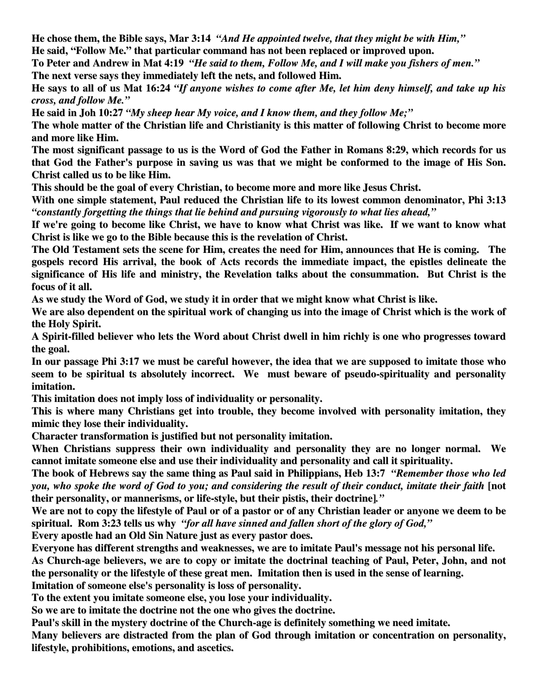**He chose them, the Bible says, Mar 3:14** *"And He appointed twelve, that they might be with Him,"*

**He said, "Follow Me." that particular command has not been replaced or improved upon.**

To Peter and Andrew in Mat 4:19 "He said to them, Follow Me, and I will make you fishers of men." **The next verse says they immediately left the nets, and followed Him.**

He says to all of us Mat 16:24 "If anyone wishes to come after Me, let him deny himself, and take up his *cross, and follow Me."*

**He said in Joh 10:27** *"My sheep hear My voice, and I know them, and they follow Me;"*

The whole matter of the Christian life and Christianity is this matter of following Christ to become more **and more like Him.**

The most significant passage to us is the Word of God the Father in Romans 8:29, which records for us that God the Father's purpose in saving us was that we might be conformed to the image of His Son. **Christ called us to be like Him.**

**This should be the goal of every Christian, to become more and more like Jesus Christ.**

**With one simple statement, Paul reduced the Christian life to its lowest common denominator, Phi 3:13** *"constantly forgetting the things that lie behind and pursuing vigorously to what lies ahead,"*

If we're going to become like Christ, we have to know what Christ was like. If we want to know what **Christ is like we go to the Bible because this is the revelation of Christ.**

The Old Testament sets the scene for Him, creates the need for Him, announces that He is coming. The **gospels record His arrival, the book of Acts records the immediate impact, the epistles delineate the significance of His life and ministry, the Revelation talks about the consummation. But Christ is the focus of it all.**

As we study the Word of God, we study it in order that we might know what Christ is like.

We are also dependent on the spiritual work of changing us into the image of Christ which is the work of **the Holy Spirit.**

A Spirit-filled believer who lets the Word about Christ dwell in him richly is one who progresses toward **the goal.**

In our passage Phi 3:17 we must be careful however, the idea that we are supposed to imitate those who **seem to be spiritual ts absolutely incorrect. We must beware of pseudo-spirituality and personality imitation.**

**This imitation does not imply loss of individuality or personality.**

**This is where many Christians get into trouble, they become involved with personality imitation, they mimic they lose their individuality.**

**Character transformation is justified but not personality imitation.**

**When Christians suppress their own individuality and personality they are no longer normal. We cannot imitate someone else and use their individuality and personality and call it spirituality.**

The book of Hebrews say the same thing as Paul said in Philippians, Heb 13:7 "Remember those who led you, who spoke the word of God to you; and considering the result of their conduct, imitate their faith [not **their personality, or mannerisms, or life-style, but their pistis, their doctrine]***."*

We are not to copy the lifestyle of Paul or of a pastor or of any Christian leader or anyone we deem to be **spiritual. Rom 3:23 tells us why** *"for all have sinned and fallen short of the glory of God,"*

**Every apostle had an Old Sin Nature just as every pastor does.**

**Everyone has different strengths and weaknesses, we are to imitate Paul's message not his personal life.** As Church-age believers, we are to copy or imitate the doctrinal teaching of Paul, Peter, John, and not the personality or the lifestyle of these great men. Imitation then is used in the sense of learning. **Imitation of someone else's personality is loss of personality.**

**To the extent you imitate someone else, you lose your individuality.**

**So we are to imitate the doctrine not the one who gives the doctrine.**

**Paul's skill in the mystery doctrine of the Church-age is definitely something we need imitate.**

**Many believers are distracted from the plan of God through imitation or concentration on personality, lifestyle, prohibitions, emotions, and ascetics.**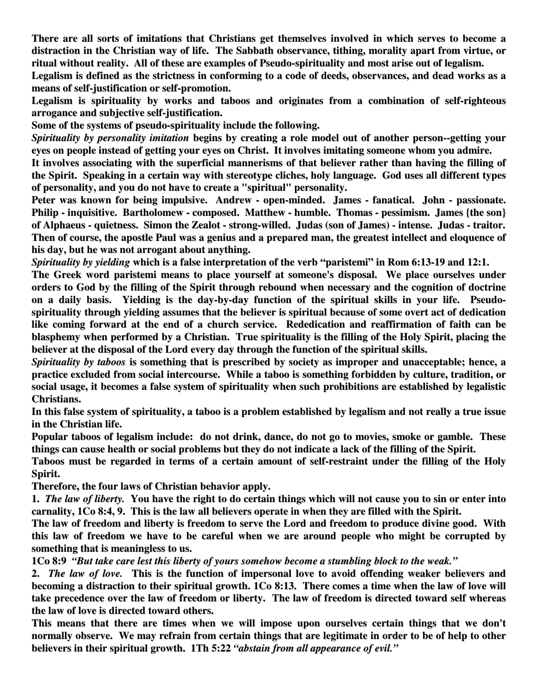**There are all sorts of imitations that Christians get themselves involved in which serves to become a distraction in the Christian way of life. The Sabbath observance, tithing, morality apart from virtue, or ritual without reality. All of these are examples of Pseudo-spirituality and most arise out of legalism.**

Legalism is defined as the strictness in conforming to a code of deeds, observances, and dead works as a **means of self-justification or self-promotion.**

**Legalism is spirituality by works and taboos and originates from a combination of self-righteous arrogance and subjective self-justification.**

**Some of the systems of pseudo-spirituality include the following.**

*Spirituality by personality imitation* **begins by creating a role model out of another person--getting your eyes on people instead of getting your eyes on Christ. It involves imitating someone whom you admire.**

**It involves associating with the superficial mannerisms of that believer rather than having the filling of** the Spirit. Speaking in a certain way with stereotype cliches, holy language. God uses all different types **of personality, and you do not have to create a "spiritual" personality.**

**Peter was known for being impulsive. Andrew - open-minded. James - fanatical. John - passionate. Philip - inquisitive. Bartholomew - composed. Matthew - humble. Thomas - pessimism. James {the son}** of Alphaeus - quietness. Simon the Zealot - strong-willed. Judas (son of James) - intense. Judas - traitor. Then of course, the apostle Paul was a genius and a prepared man, the greatest intellect and eloquence of **his day, but he was not arrogant about anything.**

*Spirituality by yielding* **which is a false interpretation of the verb "paristemi" in Rom 6:13-19 and 12:1.**

**The Greek word paristemi means to place yourself at someone's disposal. We place ourselves under** orders to God by the filling of the Spirit through rebound when necessary and the cognition of doctrine **on a daily basis. Yielding is the day-by-day function of the spiritual skills in your life. Pseudospirituality through yielding assumes that the believer is spiritual because of some overt act of dedication like coming forward at the end of a church service. Rededication and reaffirmation of faith can be blasphemy when performed by a Christian. True spirituality is the filling of the Holy Spirit, placing the believer at the disposal of the Lord every day through the function of the spiritual skills.**

*Spirituality by taboos* **is something that is prescribed by society as improper and unacceptable; hence, a practice excluded from social intercourse. While a taboo is something forbidden by culture, tradition, or social usage, it becomes a false system of spirituality when such prohibitions are established by legalistic Christians.**

In this false system of spirituality, a taboo is a problem established by legalism and not really a true issue **in the Christian life.**

Popular taboos of legalism include: do not drink, dance, do not go to movies, smoke or gamble. These things can cause health or social problems but they do not indicate a lack of the filling of the Spirit.

Taboos must be regarded in terms of a certain amount of self-restraint under the filling of the Holy **Spirit.**

**Therefore, the four laws of Christian behavior apply.**

1. The law of liberty. You have the right to do certain things which will not cause you to sin or enter into carnality, 1Co 8:4, 9. This is the law all believers operate in when they are filled with the Spirit.

The law of freedom and liberty is freedom to serve the Lord and freedom to produce divine good. With this law of freedom we have to be careful when we are around people who might be corrupted by **something that is meaningless to us.**

**1Co 8:9** *"But take care lest this liberty of yours somehow become a stumbling block to the weak."*

2. The law of love. This is the function of impersonal love to avoid offending weaker believers and becoming a distraction to their spiritual growth. 1Co 8:13. There comes a time when the law of love will take precedence over the law of freedom or liberty. The law of freedom is directed toward self whereas **the law of love is directed toward others.**

**This means that there are times when we will impose upon ourselves certain things that we don't** normally observe. We may refrain from certain things that are legitimate in order to be of help to other **believers in their spiritual growth. 1Th 5:22** *"abstain from all appearance of evil."*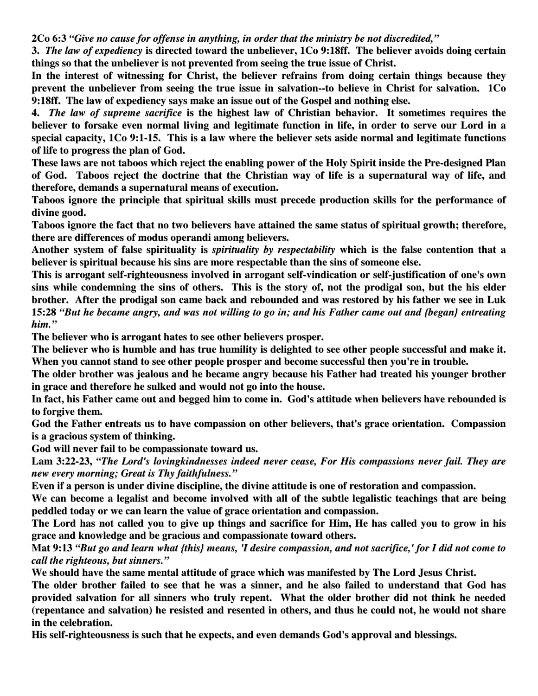**2Co 6:3** *"Give no cause for offense in anything, in order that the ministry be not discredited,"*

**3.** *The law of expediency* **is directed toward the unbeliever, 1Co 9:18ff. The believer avoids doing certain things so that the unbeliever is not prevented from seeing the true issue of Christ.**

**In the interest of witnessing for Christ, the believer refrains from doing certain things because they prevent the unbeliever from seeing the true issue in salvation--to believe in Christ for salvation. 1Co 9:18ff. The law of expediency says make an issue out of the Gospel and nothing else.**

**4.** *The law of supreme sacrifice* **is the highest law of Christian behavior. It sometimes requires the** believer to forsake even normal living and legitimate function in life, in order to serve our Lord in a **special capacity, 1Co 9:1-15. This is a law where the believer sets aside normal and legitimate functions of life to progress the plan of God.**

These laws are not taboos which reject the enabling power of the Holy Spirit inside the Pre-designed Plan of God. Taboos reject the doctrine that the Christian way of life is a supernatural way of life, and **therefore, demands a supernatural means of execution.**

**Taboos ignore the principle that spiritual skills must precede production skills for the performance of divine good.**

Taboos ignore the fact that no two believers have attained the same status of spiritual growth; therefore, **there are differences of modus operandi among believers.**

**Another system of false spirituality is** *spirituality by respectability* **which is the false contention that a believer is spiritual because his sins are more respectable than the sins of someone else.**

**This is arrogant self-righteousness involved in arrogant self-vindication or self-justification of one's own** sins while condemning the sins of others. This is the story of, not the prodigal son, but the his elder brother. After the prodigal son came back and rebounded and was restored by his father we see in Luk 15:28 "But he became angry, and was not willing to go in; and his Father came out and {began} entreating *him."*

**The believer who is arrogant hates to see other believers prosper.**

The believer who is humble and has true humility is delighted to see other people successful and make it. **When you cannot stand to see other people prosper and become successful then you're in trouble.**

**The older brother was jealous and he became angry because his Father had treated his younger brother in grace and therefore he sulked and would not go into the house.**

In fact, his Father came out and begged him to come in. God's attitude when believers have rebounded is **to forgive them.**

**God the Father entreats us to have compassion on other believers, that's grace orientation. Compassion is a gracious system of thinking.**

**God will never fail to be compassionate toward us.**

**Lam 3:22-23,** *"The Lord's lovingkindnesses indeed never cease, For His compassions never fail. They are new every morning; Great is Thy faithfulness."*

**Even if a person is under divine discipline, the divine attitude is one of restoration and compassion.**

We can become a legalist and become involved with all of the subtle legalistic teachings that are being **peddled today or we can learn the value of grace orientation and compassion.**

The Lord has not called you to give up things and sacrifice for Him, He has called you to grow in his **grace and knowledge and be gracious and compassionate toward others.**

Mat 9:13 "But go and learn what {this} means, 'I desire compassion, and not sacrifice,' for I did not come to *call the righteous, but sinners."*

**We should have the same mental attitude of grace which was manifested by The Lord Jesus Christ.**

The older brother failed to see that he was a sinner, and he also failed to understand that God has **provided salvation for all sinners who truly repent. What the older brother did not think he needed** (repentance and salvation) he resisted and resented in others, and thus he could not, he would not share **in the celebration.**

**His self-righteousness is such that he expects, and even demands God's approval and blessings.**